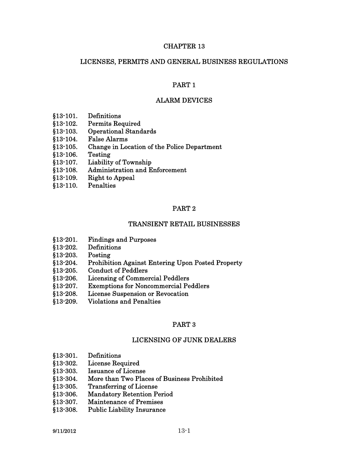### CHAPTER 13

#### LICENSES, PERMITS AND GENERAL BUSINESS REGULATIONS

### PART 1

### ALARM DEVICES

- §13-101. Definitions
- §13-102. Permits Required
- §13-103. Operational Standards
- §13-104. False Alarms
- §13-105. Change in Location of the Police Department
- §13-106. Testing
- §13-107. Liability of Township
- §13-108. Administration and Enforcement
- §13-109. Right to Appeal
- §13-110. Penalties

#### PART 2

#### TRANSIENT RETAIL BUSINESSES

- §13-201. Findings and Purposes
- §13-202. Definitions
- §13-203. Posting
- §13-204. Prohibition Against Entering Upon Posted Property
- §13-205. Conduct of Peddlers
- §13-206. Licensing of Commercial Peddlers
- §13-207. Exemptions for Noncommercial Peddlers
- §13-208. License Suspension or Revocation
- §13-209. Violations and Penalties

#### PART 3

#### LICENSING OF JUNK DEALERS

- §13-301. Definitions
- §13-302. License Required
- §13-303. Issuance of License
- §13-304. More than Two Places of Business Prohibited
- §13-305. Transferring of License
- §13-306. Mandatory Retention Period
- §13-307. Maintenance of Premises
- §13-308. Public Liability Insurance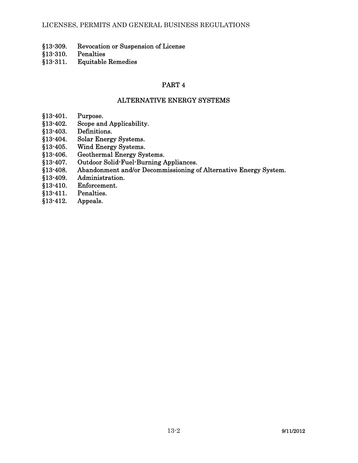- §13-309. Revocation or Suspension of License
- §13-310. Penalties
- §13-311. Equitable Remedies

## PART 4

### ALTERNATIVE ENERGY SYSTEMS

- §13-401. Purpose.
- §13-402. Scope and Applicability.
- §13-403. Definitions.
- §13-404. Solar Energy Systems.
- §13-405. Wind Energy Systems.
- §13-406. Geothermal Energy Systems.
- §13-407. Outdoor Solid-Fuel-Burning Appliances.
- §13-408. Abandonment and/or Decommissioning of Alternative Energy System.
- §13-409. Administration.
- §13-410. Enforcement.
- §13-411. Penalties.
- §13-412. Appeals.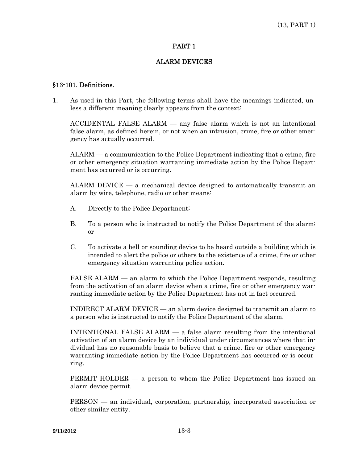## PART 1

## ALARM DEVICES

### §13-101. Definitions.

1. As used in this Part, the following terms shall have the meanings indicated, unless a different meaning clearly appears from the context:

 ACCIDENTAL FALSE ALARM — any false alarm which is not an intentional false alarm, as defined herein, or not when an intrusion, crime, fire or other emergency has actually occurred.

 ALARM — a communication to the Police Department indicating that a crime, fire or other emergency situation warranting immediate action by the Police Department has occurred or is occurring.

 ALARM DEVICE — a mechanical device designed to automatically transmit an alarm by wire, telephone, radio or other means:

- A. Directly to the Police Department;
- B. To a person who is instructed to notify the Police Department of the alarm; or
- C. To activate a bell or sounding device to be heard outside a building which is intended to alert the police or others to the existence of a crime, fire or other emergency situation warranting police action.

FALSE ALARM — an alarm to which the Police Department responds, resulting from the activation of an alarm device when a crime, fire or other emergency warranting immediate action by the Police Department has not in fact occurred.

 INDIRECT ALARM DEVICE — an alarm device designed to transmit an alarm to a person who is instructed to notify the Police Department of the alarm.

 INTENTIONAL FALSE ALARM — a false alarm resulting from the intentional activation of an alarm device by an individual under circumstances where that individual has no reasonable basis to believe that a crime, fire or other emergency warranting immediate action by the Police Department has occurred or is occurring.

 PERMIT HOLDER — a person to whom the Police Department has issued an alarm device permit.

 PERSON — an individual, corporation, partnership, incorporated association or other similar entity.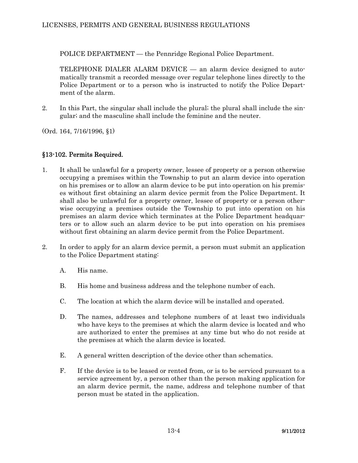POLICE DEPARTMENT — the Pennridge Regional Police Department.

 TELEPHONE DIALER ALARM DEVICE — an alarm device designed to automatically transmit a recorded message over regular telephone lines directly to the Police Department or to a person who is instructed to notify the Police Department of the alarm.

2. In this Part, the singular shall include the plural; the plural shall include the singular; and the masculine shall include the feminine and the neuter.

(Ord. 164, 7/16/1996, §1)

# §13-102. Permits Required.

- 1. It shall be unlawful for a property owner, lessee of property or a person otherwise occupying a premises within the Township to put an alarm device into operation on his premises or to allow an alarm device to be put into operation on his premises without first obtaining an alarm device permit from the Police Department. It shall also be unlawful for a property owner, lessee of property or a person otherwise occupying a premises outside the Township to put into operation on his premises an alarm device which terminates at the Police Department headquarters or to allow such an alarm device to be put into operation on his premises without first obtaining an alarm device permit from the Police Department.
- 2. In order to apply for an alarm device permit, a person must submit an application to the Police Department stating:
	- A. His name.
	- B. His home and business address and the telephone number of each.
	- C. The location at which the alarm device will be installed and operated.
	- D. The names, addresses and telephone numbers of at least two individuals who have keys to the premises at which the alarm device is located and who are authorized to enter the premises at any time but who do not reside at the premises at which the alarm device is located.
	- E. A general written description of the device other than schematics.
	- F. If the device is to be leased or rented from, or is to be serviced pursuant to a service agreement by, a person other than the person making application for an alarm device permit, the name, address and telephone number of that person must be stated in the application.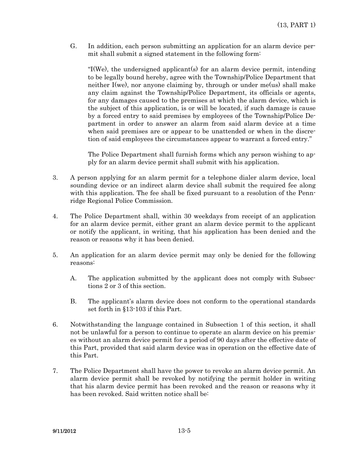G. In addition, each person submitting an application for an alarm device permit shall submit a signed statement in the following form:

 "I(We), the undersigned applicant(s) for an alarm device permit, intending to be legally bound hereby, agree with the Township/Police Department that neither I(we), nor anyone claiming by, through or under me(us) shall make any claim against the Township/Police Department, its officials or agents, for any damages caused to the premises at which the alarm device, which is the subject of this application, is or will be located, if such damage is cause by a forced entry to said premises by employees of the Township/Police Department in order to answer an alarm from said alarm device at a time when said premises are or appear to be unattended or when in the discretion of said employees the circumstances appear to warrant a forced entry."

 The Police Department shall furnish forms which any person wishing to apply for an alarm device permit shall submit with his application.

- 3. A person applying for an alarm permit for a telephone dialer alarm device, local sounding device or an indirect alarm device shall submit the required fee along with this application. The fee shall be fixed pursuant to a resolution of the Pennridge Regional Police Commission.
- 4. The Police Department shall, within 30 weekdays from receipt of an application for an alarm device permit, either grant an alarm device permit to the applicant or notify the applicant, in writing, that his application has been denied and the reason or reasons why it has been denied.
- 5. An application for an alarm device permit may only be denied for the following reasons:
	- A. The application submitted by the applicant does not comply with Subsections 2 or 3 of this section.
	- B. The applicant's alarm device does not conform to the operational standards set forth in §13-103 if this Part.
- 6. Notwithstanding the language contained in Subsection 1 of this section, it shall not be unlawful for a person to continue to operate an alarm device on his premises without an alarm device permit for a period of 90 days after the effective date of this Part, provided that said alarm device was in operation on the effective date of this Part.
- 7. The Police Department shall have the power to revoke an alarm device permit. An alarm device permit shall be revoked by notifying the permit holder in writing that his alarm device permit has been revoked and the reason or reasons why it has been revoked. Said written notice shall be: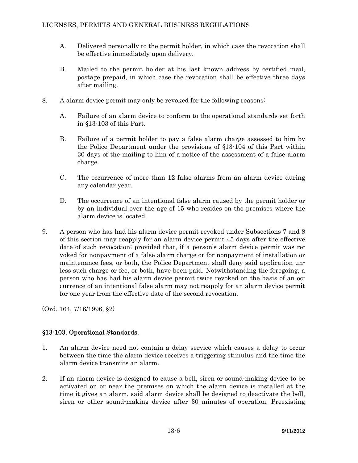- A. Delivered personally to the permit holder, in which case the revocation shall be effective immediately upon delivery.
- B. Mailed to the permit holder at his last known address by certified mail, postage prepaid, in which case the revocation shall be effective three days after mailing.
- 8. A alarm device permit may only be revoked for the following reasons:
	- A. Failure of an alarm device to conform to the operational standards set forth in §13-103 of this Part.
	- B. Failure of a permit holder to pay a false alarm charge assessed to him by the Police Department under the provisions of §13-104 of this Part within 30 days of the mailing to him of a notice of the assessment of a false alarm charge.
	- C. The occurrence of more than 12 false alarms from an alarm device during any calendar year.
	- D. The occurrence of an intentional false alarm caused by the permit holder or by an individual over the age of 15 who resides on the premises where the alarm device is located.
- 9. A person who has had his alarm device permit revoked under Subsections 7 and 8 of this section may reapply for an alarm device permit 45 days after the effective date of such revocation; provided that, if a person's alarm device permit was revoked for nonpayment of a false alarm charge or for nonpayment of installation or maintenance fees, or both, the Police Department shall deny said application unless such charge or fee, or both, have been paid. Notwithstanding the foregoing, a person who has had his alarm device permit twice revoked on the basis of an occurrence of an intentional false alarm may not reapply for an alarm device permit for one year from the effective date of the second revocation.

(Ord. 164, 7/16/1996, §2)

# §13-103. Operational Standards.

- 1. An alarm device need not contain a delay service which causes a delay to occur between the time the alarm device receives a triggering stimulus and the time the alarm device transmits an alarm.
- 2. If an alarm device is designed to cause a bell, siren or sound-making device to be activated on or near the premises on which the alarm device is installed at the time it gives an alarm, said alarm device shall be designed to deactivate the bell, siren or other sound-making device after 30 minutes of operation. Preexisting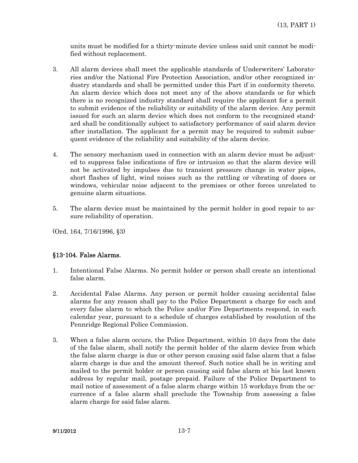units must be modified for a thirty-minute device unless said unit cannot be modified without replacement.

- 3. All alarm devices shall meet the applicable standards of Underwriters' Laboratories and/or the National Fire Protection Association, and/or other recognized industry standards and shall be permitted under this Part if in conformity thereto. An alarm device which does not meet any of the above standards or for which there is no recognized industry standard shall require the applicant for a permit to submit evidence of the reliability or suitability of the alarm device. Any permit issued for such an alarm device which does not conform to the recognized standard shall be conditionally subject to satisfactory performance of said alarm device after installation. The applicant for a permit may be required to submit subsequent evidence of the reliability and suitability of the alarm device.
- 4. The sensory mechanism used in connection with an alarm device must be adjusted to suppress false indications of fire or intrusion so that the alarm device will not be activated by impulses due to transient pressure change in water pipes, short flashes of light, wind noises such as the rattling or vibrating of doors or windows, vehicular noise adjacent to the premises or other forces unrelated to genuine alarm situations.
- 5. The alarm device must be maintained by the permit holder in good repair to assure reliability of operation.
- (Ord. 164, 7/16/1996, §3)

# §13-104. False Alarms.

- 1. Intentional False Alarms. No permit holder or person shall create an intentional false alarm.
- 2. Accidental False Alarms. Any person or permit holder causing accidental false alarms for any reason shall pay to the Police Department a charge for each and every false alarm to which the Police and/or Fire Departments respond, in each calendar year, pursuant to a schedule of charges established by resolution of the Pennridge Regional Police Commission.
- 3. When a false alarm occurs, the Police Department, within 10 days from the date of the false alarm, shall notify the permit holder of the alarm device from which the false alarm charge is due or other person causing said false alarm that a false alarm charge is due and the amount thereof. Such notice shall be in writing and mailed to the permit holder or person causing said false alarm at his last known address by regular mail, postage prepaid. Failure of the Police Department to mail notice of assessment of a false alarm charge within 15 workdays from the occurrence of a false alarm shall preclude the Township from assessing a false alarm charge for said false alarm.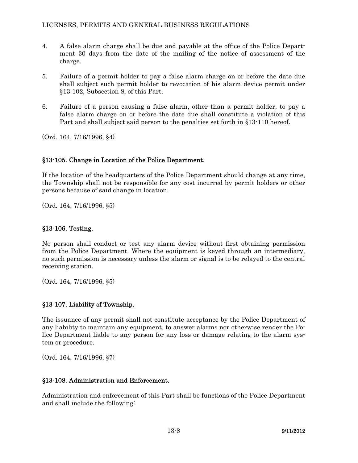- 4. A false alarm charge shall be due and payable at the office of the Police Department 30 days from the date of the mailing of the notice of assessment of the charge.
- 5. Failure of a permit holder to pay a false alarm charge on or before the date due shall subject such permit holder to revocation of his alarm device permit under §13-102, Subsection 8, of this Part.
- 6. Failure of a person causing a false alarm, other than a permit holder, to pay a false alarm charge on or before the date due shall constitute a violation of this Part and shall subject said person to the penalties set forth in §13-110 hereof.

(Ord. 164, 7/16/1996, §4)

# §13-105. Change in Location of the Police Department.

If the location of the headquarters of the Police Department should change at any time, the Township shall not be responsible for any cost incurred by permit holders or other persons because of said change in location.

(Ord. 164, 7/16/1996, §5)

## §13-106. Testing.

No person shall conduct or test any alarm device without first obtaining permission from the Police Department. Where the equipment is keyed through an intermediary, no such permission is necessary unless the alarm or signal is to be relayed to the central receiving station.

(Ord. 164, 7/16/1996, §5)

# §13-107. Liability of Township.

The issuance of any permit shall not constitute acceptance by the Police Department of any liability to maintain any equipment, to answer alarms nor otherwise render the Police Department liable to any person for any loss or damage relating to the alarm system or procedure.

(Ord. 164, 7/16/1996, §7)

## §13-108. Administration and Enforcement.

Administration and enforcement of this Part shall be functions of the Police Department and shall include the following: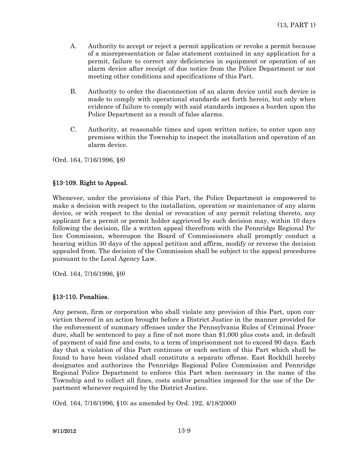- A. Authority to accept or reject a permit application or revoke a permit because of a misrepresentation or false statement contained in any application for a permit, failure to correct any deficiencies in equipment or operation of an alarm device after receipt of due notice from the Police Department or not meeting other conditions and specifications of this Part.
- B. Authority to order the disconnection of an alarm device until such device is made to comply with operational standards set forth herein, but only when evidence of failure to comply with said standards imposes a burden upon the Police Department as a result of false alarms.
- C. Authority, at reasonable times and upon written notice, to enter upon any premises within the Township to inspect the installation and operation of an alarm device.

(Ord. 164, 7/16/1996, §8)

## §13-109. Right to Appeal.

Whenever, under the provisions of this Part, the Police Department is empowered to make a decision with respect to the installation, operation or maintenance of any alarm device, or with respect to the denial or revocation of any permit relating thereto, any applicant for a permit or permit holder aggrieved by such decision may, within 10 days following the decision, file a written appeal therefrom with the Pennridge Regional Police Commission, whereupon the Board of Commissioners shall promptly conduct a hearing within 30 days of the appeal petition and affirm, modify or reverse the decision appealed from. The decision of the Commission shall be subject to the appeal procedures pursuant to the Local Agency Law.

(Ord. 164, 7/16/1996, §9)

## §13-110. Penalties.

Any person, firm or corporation who shall violate any provision of this Part, upon conviction thereof in an action brought before a District Justice in the manner provided for the enforcement of summary offenses under the Pennsylvania Rules of Criminal Procedure, shall be sentenced to pay a fine of not more than \$1,000 plus costs and, in default of payment of said fine and costs, to a term of imprisonment not to exceed 90 days. Each day that a violation of this Part continues or each section of this Part which shall be found to have been violated shall constitute a separate offense. East Rockhill hereby designates and authorizes the Pennridge Regional Police Commission and Pennridge Regional Police Department to enforce this Part when necessary in the name of the Township and to collect all fines, costs and/or penalties imposed for the use of the Department whenever required by the District Justice.

(Ord. 164, 7/16/1996, §10; as amended by Ord. 192, 4/18/2000)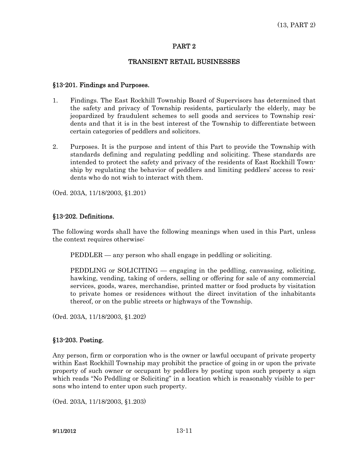## PART 2

### TRANSIENT RETAIL BUSINESSES

### §13-201. Findings and Purposes.

- 1. Findings. The East Rockhill Township Board of Supervisors has determined that the safety and privacy of Township residents, particularly the elderly, may be jeopardized by fraudulent schemes to sell goods and services to Township residents and that it is in the best interest of the Township to differentiate between certain categories of peddlers and solicitors.
- 2. Purposes. It is the purpose and intent of this Part to provide the Township with standards defining and regulating peddling and soliciting. These standards are intended to protect the safety and privacy of the residents of East Rockhill Township by regulating the behavior of peddlers and limiting peddlers' access to residents who do not wish to interact with them.

(Ord. 203A, 11/18/2003, §1.201)

## §13-202. Definitions.

The following words shall have the following meanings when used in this Part, unless the context requires otherwise:

PEDDLER — any person who shall engage in peddling or soliciting.

 PEDDLING or SOLICITING — engaging in the peddling, canvassing, soliciting, hawking, vending, taking of orders, selling or offering for sale of any commercial services, goods, wares, merchandise, printed matter or food products by visitation to private homes or residences without the direct invitation of the inhabitants thereof, or on the public streets or highways of the Township.

(Ord. 203A, 11/18/2003, §1.202)

## §13-203. Posting.

Any person, firm or corporation who is the owner or lawful occupant of private property within East Rockhill Township may prohibit the practice of going in or upon the private property of such owner or occupant by peddlers by posting upon such property a sign which reads "No Peddling or Soliciting" in a location which is reasonably visible to persons who intend to enter upon such property.

(Ord. 203A, 11/18/2003, §1.203)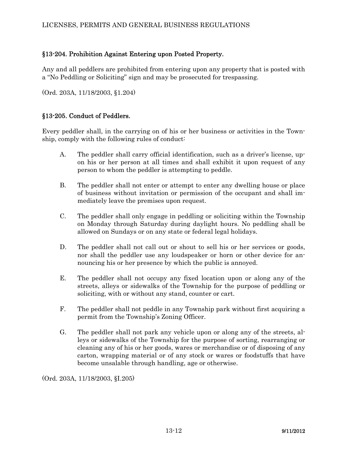# §13-204. Prohibition Against Entering upon Posted Property.

Any and all peddlers are prohibited from entering upon any property that is posted with a "No Peddling or Soliciting" sign and may be prosecuted for trespassing.

(Ord. 203A, 11/18/2003, §1.204)

# §13-205. Conduct of Peddlers.

Every peddler shall, in the carrying on of his or her business or activities in the Township, comply with the following rules of conduct:

- A. The peddler shall carry official identification, such as a driver's license, upon his or her person at all times and shall exhibit it upon request of any person to whom the peddler is attempting to peddle.
- B. The peddler shall not enter or attempt to enter any dwelling house or place of business without invitation or permission of the occupant and shall immediately leave the premises upon request.
- C. The peddler shall only engage in peddling or soliciting within the Township on Monday through Saturday during daylight hours. No peddling shall be allowed on Sundays or on any state or federal legal holidays.
- D. The peddler shall not call out or shout to sell his or her services or goods, nor shall the peddler use any loudspeaker or horn or other device for announcing his or her presence by which the public is annoyed.
- E. The peddler shall not occupy any fixed location upon or along any of the streets, alleys or sidewalks of the Township for the purpose of peddling or soliciting, with or without any stand, counter or cart.
- F. The peddler shall not peddle in any Township park without first acquiring a permit from the Township's Zoning Officer.
- G. The peddler shall not park any vehicle upon or along any of the streets, alleys or sidewalks of the Township for the purpose of sorting, rearranging or cleaning any of his or her goods, wares or merchandise or of disposing of any carton, wrapping material or of any stock or wares or foodstuffs that have become unsalable through handling, age or otherwise.

(Ord. 203A, 11/18/2003, §I.205)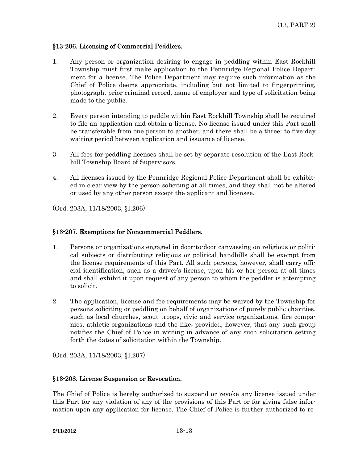## §13-206. Licensing of Commercial Peddlers.

- 1. Any person or organization desiring to engage in peddling within East Rockhill Township must first make application to the Pennridge Regional Police Department for a license. The Police Department may require such information as the Chief of Police deems appropriate, including but not limited to fingerprinting, photograph, prior criminal record, name of employer and type of solicitation being made to the public.
- 2. Every person intending to peddle within East Rockhill Township shall be required to file an application and obtain a license. No license issued under this Part shall be transferable from one person to another, and there shall be a three- to five-day waiting period between application and issuance of license.
- 3. All fees for peddling licenses shall be set by separate resolution of the East Rockhill Township Board of Supervisors.
- 4. All licenses issued by the Pennridge Regional Police Department shall be exhibited in clear view by the person soliciting at all times, and they shall not be altered or used by any other person except the applicant and licensee.

(Ord. 203A, 11/18/2003, §I.206)

## §13-207. Exemptions for Noncommercial Peddlers.

- 1. Persons or organizations engaged in door-to-door canvassing on religious or political subjects or distributing religious or political handbills shall be exempt from the license requirements of this Part. All such persons, however, shall carry official identification, such as a driver's license, upon his or her person at all times and shall exhibit it upon request of any person to whom the peddler is attempting to solicit.
- 2. The application, license and fee requirements may be waived by the Township for persons soliciting or peddling on behalf of organizations of purely public charities, such as local churches, scout troops, civic and service organizations, fire companies, athletic organizations and the like; provided, however, that any such group notifies the Chief of Police in writing in advance of any such solicitation setting forth the dates of solicitation within the Township.

(Ord. 203A, 11/18/2003, §I.207)

## §13-208. License Suspension or Revocation.

The Chief of Police is hereby authorized to suspend or revoke any license issued under this Part for any violation of any of the provisions of this Part or for giving false information upon any application for license. The Chief of Police is further authorized to re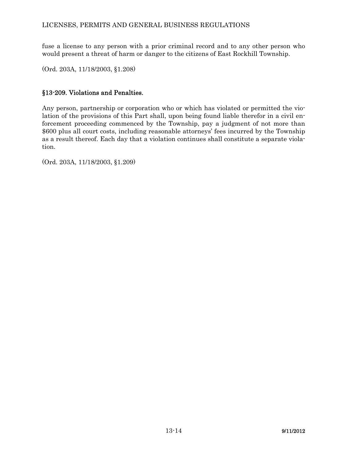fuse a license to any person with a prior criminal record and to any other person who would present a threat of harm or danger to the citizens of East Rockhill Township.

(Ord. 203A, 11/18/2003, §1.208)

# §13-209. Violations and Penalties.

Any person, partnership or corporation who or which has violated or permitted the violation of the provisions of this Part shall, upon being found liable therefor in a civil enforcement proceeding commenced by the Township, pay a judgment of not more than \$600 plus all court costs, including reasonable attorneys' fees incurred by the Township as a result thereof. Each day that a violation continues shall constitute a separate violation.

(Ord. 203A, 11/18/2003, §1.209)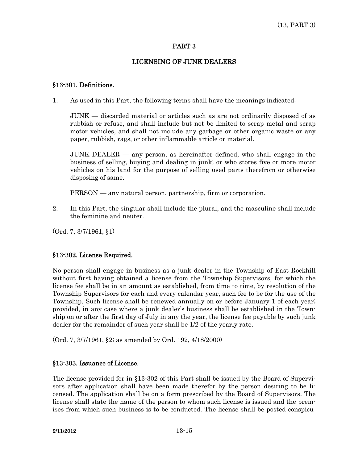# PART 3

## LICENSING OF JUNK DEALERS

### §13-301. Definitions.

1. As used in this Part, the following terms shall have the meanings indicated:

 JUNK — discarded material or articles such as are not ordinarily disposed of as rubbish or refuse, and shall include but not be limited to scrap metal and scrap motor vehicles, and shall not include any garbage or other organic waste or any paper, rubbish, rags, or other inflammable article or material.

 JUNK DEALER — any person, as hereinafter defined, who shall engage in the business of selling, buying and dealing in junk; or who stores five or more motor vehicles on his land for the purpose of selling used parts therefrom or otherwise disposing of same.

PERSON — any natural person, partnership, firm or corporation.

2. In this Part, the singular shall include the plural, and the masculine shall include the feminine and neuter.

(Ord. 7, 3/7/1961, §1)

## §13-302. License Required.

No person shall engage in business as a junk dealer in the Township of East Rockhill without first having obtained a license from the Township Supervisors, for which the license fee shall be in an amount as established, from time to time, by resolution of the Township Supervisors for each and every calendar year, such fee to be for the use of the Township. Such license shall be renewed annually on or before January 1 of each year; provided, in any case where a junk dealer's business shall be established in the Township on or after the first day of July in any the year, the license fee payable by such junk dealer for the remainder of such year shall be 1/2 of the yearly rate.

(Ord. 7, 3/7/1961, §2; as amended by Ord. 192, 4/18/2000)

## §13-303. Issuance of License.

The license provided for in §13-302 of this Part shall be issued by the Board of Supervisors after application shall have been made therefor by the person desiring to be licensed. The application shall be on a form prescribed by the Board of Supervisors. The license shall state the name of the person to whom such license is issued and the premises from which such business is to be conducted. The license shall be posted conspicu-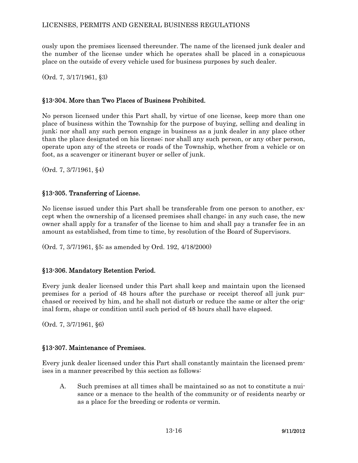## LICENSES, PERMITS AND GENERAL BUSINESS REGULATIONS

ously upon the premises licensed thereunder. The name of the licensed junk dealer and the number of the license under which he operates shall be placed in a conspicuous place on the outside of every vehicle used for business purposes by such dealer.

(Ord. 7, 3/17/1961, §3)

## §13-304. More than Two Places of Business Prohibited.

No person licensed under this Part shall, by virtue of one license, keep more than one place of business within the Township for the purpose of buying, selling and dealing in junk; nor shall any such person engage in business as a junk dealer in any place other than the place designated on his license; nor shall any such person, or any other person, operate upon any of the streets or roads of the Township, whether from a vehicle or on foot, as a scavenger or itinerant buyer or seller of junk.

(Ord. 7, 3/7/1961, §4)

## §13-305. Transferring of License.

No license issued under this Part shall be transferable from one person to another, except when the ownership of a licensed premises shall change; in any such case, the new owner shall apply for a transfer of the license to him and shall pay a transfer fee in an amount as established, from time to time, by resolution of the Board of Supervisors.

(Ord. 7, 3/7/1961, §5; as amended by Ord. 192, 4/18/2000)

## §13-306. Mandatory Retention Period.

Every junk dealer licensed under this Part shall keep and maintain upon the licensed premises for a period of 48 hours after the purchase or receipt thereof all junk purchased or received by him, and he shall not disturb or reduce the same or alter the original form, shape or condition until such period of 48 hours shall have elapsed.

(Ord. 7, 3/7/1961, §6)

## §13-307. Maintenance of Premises.

Every junk dealer licensed under this Part shall constantly maintain the licensed premises in a manner prescribed by this section as follows:

 A. Such premises at all times shall be maintained so as not to constitute a nuisance or a menace to the health of the community or of residents nearby or as a place for the breeding or rodents or vermin.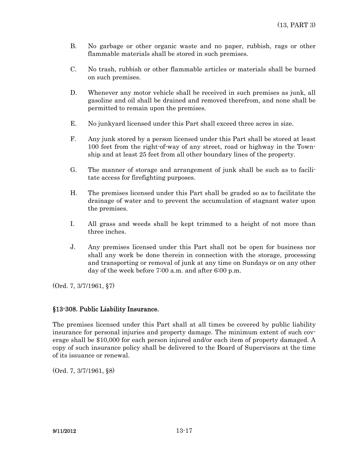- B. No garbage or other organic waste and no paper, rubbish, rags or other flammable materials shall be stored in such premises.
- C. No trash, rubbish or other flammable articles or materials shall be burned on such premises.
- D. Whenever any motor vehicle shall be received in such premises as junk, all gasoline and oil shall be drained and removed therefrom, and none shall be permitted to remain upon the premises.
- E. No junkyard licensed under this Part shall exceed three acres in size.
- F. Any junk stored by a person licensed under this Part shall be stored at least 100 feet from the right-of-way of any street, road or highway in the Township and at least 25 feet from all other boundary lines of the property.
- G. The manner of storage and arrangement of junk shall be such as to facilitate access for firefighting purposes.
- H. The premises licensed under this Part shall be graded so as to facilitate the drainage of water and to prevent the accumulation of stagnant water upon the premises.
- I. All grass and weeds shall be kept trimmed to a height of not more than three inches.
- J. Any premises licensed under this Part shall not be open for business nor shall any work be done therein in connection with the storage, processing and transporting or removal of junk at any time on Sundays or on any other day of the week before 7:00 a.m. and after 6:00 p.m.

(Ord. 7, 3/7/1961, §7)

# §13-308. Public Liability Insurance.

The premises licensed under this Part shall at all times be covered by public liability insurance for personal injuries and property damage. The minimum extent of such coverage shall be \$10,000 for each person injured and/or each item of property damaged. A copy of such insurance policy shall be delivered to the Board of Supervisors at the time of its issuance or renewal.

(Ord. 7, 3/7/1961, §8)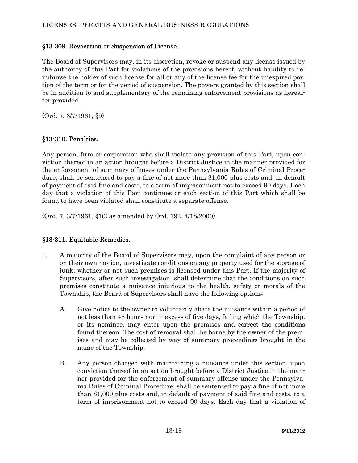## LICENSES, PERMITS AND GENERAL BUSINESS REGULATIONS

## §13-309. Revocation or Suspension of License.

The Board of Supervisors may, in its discretion, revoke or suspend any license issued by the authority of this Part for violations of the provisions hereof, without liability to reimburse the holder of such license for all or any of the license fee for the unexpired portion of the term or for the period of suspension. The powers granted by this section shall be in addition to and supplementary of the remaining enforcement provisions as hereafter provided.

(Ord. 7, 3/7/1961, §9)

# §13-310. Penalties.

Any person, firm or corporation who shall violate any provision of this Part, upon conviction thereof in an action brought before a District Justice in the manner provided for the enforcement of summary offenses under the Pennsylvania Rules of Criminal Procedure, shall be sentenced to pay a fine of not more than \$1,000 plus costs and, in default of payment of said fine and costs, to a term of imprisonment not to exceed 90 days. Each day that a violation of this Part continues or each section of this Part which shall be found to have been violated shall constitute a separate offense.

(Ord. 7, 3/7/1961, §10; as amended by Ord. 192, 4/18/2000)

# §13-311. Equitable Remedies.

- 1. A majority of the Board of Supervisors may, upon the complaint of any person or on their own motion, investigate conditions on any property used for the storage of junk, whether or not such premises is licensed under this Part. If the majority of Supervisors, after such investigation, shall determine that the conditions on such premises constitute a nuisance injurious to the health, safety or morals of the Township, the Board of Supervisors shall have the following options:
	- A. Give notice to the owner to voluntarily abate the nuisance within a period of not less than 48 hours nor in excess of five days, failing which the Township, or its nominee, may enter upon the premises and correct the conditions found thereon. The cost of removal shall be borne by the owner of the premises and may be collected by way of summary proceedings brought in the name of the Township.
	- B. Any person charged with maintaining a nuisance under this section, upon conviction thereof in an action brought before a District Justice in the manner provided for the enforcement of summary offense under the Pennsylvania Rules of Criminal Procedure, shall be sentenced to pay a fine of not more than \$1,000 plus costs and, in default of payment of said fine and costs, to a term of imprisonment not to exceed 90 days. Each day that a violation of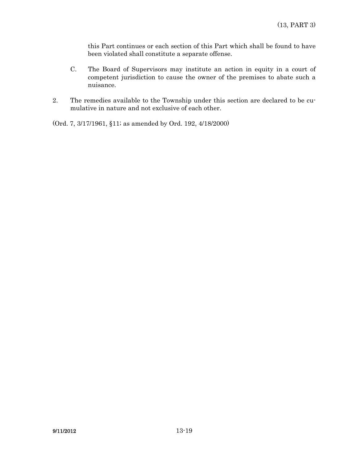this Part continues or each section of this Part which shall be found to have been violated shall constitute a separate offense.

- C. The Board of Supervisors may institute an action in equity in a court of competent jurisdiction to cause the owner of the premises to abate such a nuisance.
- 2. The remedies available to the Township under this section are declared to be cumulative in nature and not exclusive of each other.

(Ord. 7, 3/17/1961, §11; as amended by Ord. 192, 4/18/2000)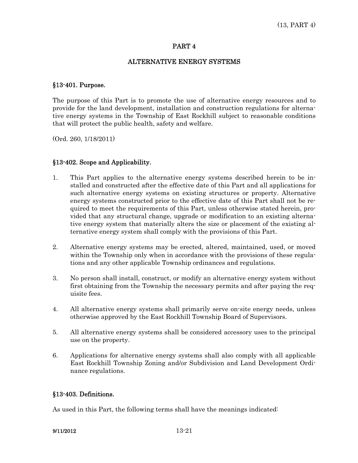## PART 4

### ALTERNATIVE ENERGY SYSTEMS

### §13-401. Purpose.

The purpose of this Part is to promote the use of alternative energy resources and to provide for the land development, installation and construction regulations for alternative energy systems in the Township of East Rockhill subject to reasonable conditions that will protect the public health, safety and welfare.

(Ord. 260, 1/18/2011)

## §13-402. Scope and Applicability.

- 1. This Part applies to the alternative energy systems described herein to be installed and constructed after the effective date of this Part and all applications for such alternative energy systems on existing structures or property. Alternative energy systems constructed prior to the effective date of this Part shall not be required to meet the requirements of this Part, unless otherwise stated herein, provided that any structural change, upgrade or modification to an existing alternative energy system that materially alters the size or placement of the existing alternative energy system shall comply with the provisions of this Part.
- 2. Alternative energy systems may be erected, altered, maintained, used, or moved within the Township only when in accordance with the provisions of these regulations and any other applicable Township ordinances and regulations.
- 3. No person shall install, construct, or modify an alternative energy system without first obtaining from the Township the necessary permits and after paying the requisite fees.
- 4. All alternative energy systems shall primarily serve on-site energy needs, unless otherwise approved by the East Rockhill Township Board of Supervisors.
- 5. All alternative energy systems shall be considered accessory uses to the principal use on the property.
- 6. Applications for alternative energy systems shall also comply with all applicable East Rockhill Township Zoning and/or Subdivision and Land Development Ordinance regulations.

## §13-403. Definitions.

As used in this Part, the following terms shall have the meanings indicated:

9/11/2012 13-21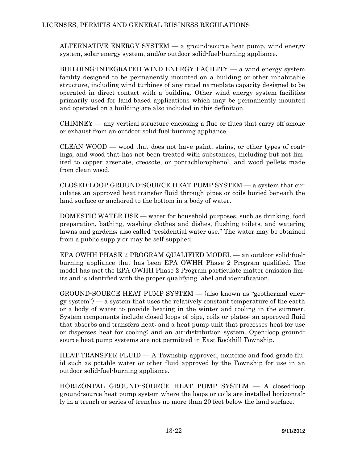ALTERNATIVE ENERGY SYSTEM — a ground-source heat pump, wind energy system, solar energy system, and/or outdoor solid-fuel-burning appliance.

 BUILDING-INTEGRATED WIND ENERGY FACILITY — a wind energy system facility designed to be permanently mounted on a building or other inhabitable structure, including wind turbines of any rated nameplate capacity designed to be operated in direct contact with a building. Other wind energy system facilities primarily used for land-based applications which may be permanently mounted and operated on a building are also included in this definition.

 CHIMNEY — any vertical structure enclosing a flue or flues that carry off smoke or exhaust from an outdoor solid-fuel-burning appliance.

 CLEAN WOOD — wood that does not have paint, stains, or other types of coatings, and wood that has not been treated with substances, including but not limited to copper arsenate, creosote, or pontachlorophenol, and wood pellets made from clean wood.

 CLOSED-LOOP GROUND-SOURCE HEAT PUMP SYSTEM — a system that circulates an approved heat transfer fluid through pipes or coils buried beneath the land surface or anchored to the bottom in a body of water.

 DOMESTIC WATER USE — water for household purposes, such as drinking, food preparation, bathing, washing clothes and dishes, flushing toilets, and watering lawns and gardens; also called "residential water use." The water may be obtained from a public supply or may be self-supplied.

 EPA OWHH PHASE 2 PROGRAM QUALIFIED MODEL — an outdoor solid-fuelburning appliance that has been EPA OWHH Phase 2 Program qualified. The model has met the EPA OWHH Phase 2 Program particulate matter emission limits and is identified with the proper qualifying label and identification.

 GROUND-SOURCE HEAT PUMP SYSTEM — (also known as "geothermal energy system") — a system that uses the relatively constant temperature of the earth or a body of water to provide heating in the winter and cooling in the summer. System components include closed loops of pipe, coils or plates; an approved fluid that absorbs and transfers heat; and a heat pump unit that processes heat for use or disperses heat for cooling; and an air-distribution system. Open-loop groundsource heat pump systems are not permitted in East Rockhill Township.

 HEAT TRANSFER FLUID — A Township-approved, nontoxic and food-grade fluid such as potable water or other fluid approved by the Township for use in an outdoor solid-fuel-burning appliance.

 HORIZONTAL GROUND-SOURCE HEAT PUMP SYSTEM — A closed-loop ground-source heat pump system where the loops or coils are installed horizontally in a trench or series of trenches no more than 20 feet below the land surface.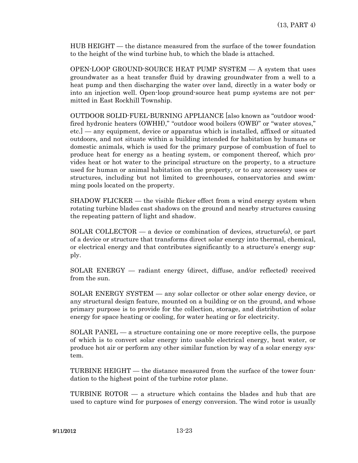HUB HEIGHT — the distance measured from the surface of the tower foundation to the height of the wind turbine hub, to which the blade is attached.

 OPEN-LOOP GROUND-SOURCE HEAT PUMP SYSTEM — A system that uses groundwater as a heat transfer fluid by drawing groundwater from a well to a heat pump and then discharging the water over land, directly in a water body or into an injection well. Open-loop ground-source heat pump systems are not permitted in East Rockhill Township.

 OUTDOOR SOLID-FUEL-BURNING APPLIANCE [also known as "outdoor woodfired hydronic heaters (OWHH)," "outdoor wood boilers (OWB)" or "water stoves," etc.] — any equipment, device or apparatus which is installed, affixed or situated outdoors, and not situate within a building intended for habitation by humans or domestic animals, which is used for the primary purpose of combustion of fuel to produce heat for energy as a heating system, or component thereof, which provides heat or hot water to the principal structure on the property, to a structure used for human or animal habitation on the property, or to any accessory uses or structures, including but not limited to greenhouses, conservatories and swimming pools located on the property.

 SHADOW FLICKER — the visible flicker effect from a wind energy system when rotating turbine blades cast shadows on the ground and nearby structures causing the repeating pattern of light and shadow.

 SOLAR COLLECTOR — a device or combination of devices, structure(s), or part of a device or structure that transforms direct solar energy into thermal, chemical, or electrical energy and that contributes significantly to a structure's energy supply.

 SOLAR ENERGY — radiant energy (direct, diffuse, and/or reflected) received from the sun.

 SOLAR ENERGY SYSTEM — any solar collector or other solar energy device, or any structural design feature, mounted on a building or on the ground, and whose primary purpose is to provide for the collection, storage, and distribution of solar energy for space heating or cooling, for water heating or for electricity.

 SOLAR PANEL — a structure containing one or more receptive cells, the purpose of which is to convert solar energy into usable electrical energy, heat water, or produce hot air or perform any other similar function by way of a solar energy system.

 TURBINE HEIGHT — the distance measured from the surface of the tower foundation to the highest point of the turbine rotor plane.

 TURBINE ROTOR — a structure which contains the blades and hub that are used to capture wind for purposes of energy conversion. The wind rotor is usually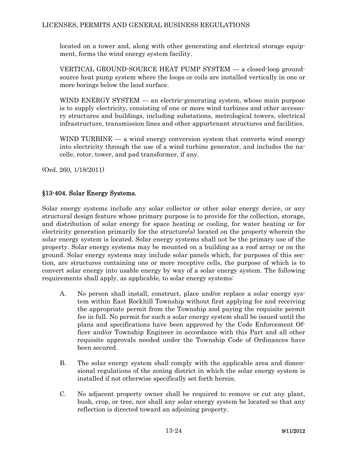located on a tower and, along with other generating and electrical storage equipment, forms the wind energy system facility.

 VERTICAL GROUND-SOURCE HEAT PUMP SYSTEM — a closed-loop groundsource heat pump system where the loops or coils are installed vertically in one or more borings below the land surface.

 WIND ENERGY SYSTEM — an electric-generating system, whose main purpose is to supply electricity, consisting of one or more wind turbines and other accessory structures and buildings, including substations, metrological towers, electrical infrastructure, transmission lines and other appurtenant structures and facilities.

WIND TURBINE  $-$  a wind energy conversion system that converts wind energy into electricity through the use of a wind turbine generator, and includes the nacelle, rotor, tower, and pad transformer, if any.

(Ord. 260, 1/18/2011)

# §13-404. Solar Energy Systems.

Solar energy systems include any solar collector or other solar energy device, or any structural design feature whose primary purpose is to provide for the collection, storage, and distribution of solar energy for space heating or cooling, for water heating or for electricity generation primarily for the structure(s) located on the property wherein the solar energy system is located. Solar energy systems shall not be the primary use of the property. Solar energy systems may be mounted on a building as a roof array or on the ground. Solar energy systems may include solar panels which, for purposes of this section, are structures containing one or more receptive cells, the purpose of which is to convert solar energy into usable energy by way of a solar energy system. The following requirements shall apply, as applicable, to solar energy systems:

- A. No person shall install, construct, place and/or replace a solar energy system within East Rockhill Township without first applying for and receiving the appropriate permit from the Township and paying the requisite permit fee in full. No permit for such a solar energy system shall be issued until the plans and specifications have been approved by the Code Enforcement Officer and/or Township Engineer in accordance with this Part and all other requisite approvals needed under the Township Code of Ordinances have been secured.
- B. The solar energy system shall comply with the applicable area and dimensional regulations of the zoning district in which the solar energy system is installed if not otherwise specifically set forth herein.
- C. No adjacent property owner shall be required to remove or cut any plant, bush, crop, or tree, nor shall any solar energy system be located so that any reflection is directed toward an adjoining property.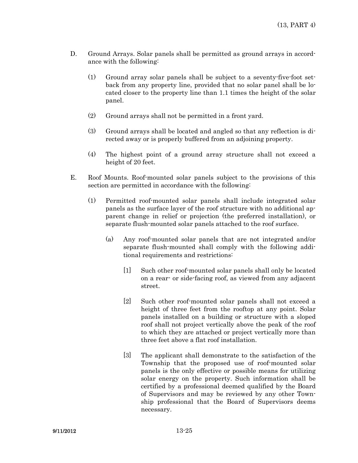- D. Ground Arrays. Solar panels shall be permitted as ground arrays in accordance with the following:
	- (1) Ground array solar panels shall be subject to a seventy-five-foot setback from any property line, provided that no solar panel shall be located closer to the property line than 1.1 times the height of the solar panel.
	- (2) Ground arrays shall not be permitted in a front yard.
	- (3) Ground arrays shall be located and angled so that any reflection is directed away or is properly buffered from an adjoining property.
	- (4) The highest point of a ground array structure shall not exceed a height of 20 feet.
- E. Roof Mounts. Roof-mounted solar panels subject to the provisions of this section are permitted in accordance with the following:
	- (1) Permitted roof-mounted solar panels shall include integrated solar panels as the surface layer of the roof structure with no additional apparent change in relief or projection (the preferred installation), or separate flush-mounted solar panels attached to the roof surface.
		- (a) Any roof-mounted solar panels that are not integrated and/or separate flush-mounted shall comply with the following additional requirements and restrictions:
			- [1] Such other roof-mounted solar panels shall only be located on a rear- or side-facing roof, as viewed from any adjacent street.
			- [2] Such other roof-mounted solar panels shall not exceed a height of three feet from the rooftop at any point. Solar panels installed on a building or structure with a sloped roof shall not project vertically above the peak of the roof to which they are attached or project vertically more than three feet above a flat roof installation.
			- [3] The applicant shall demonstrate to the satisfaction of the Township that the proposed use of roof-mounted solar panels is the only effective or possible means for utilizing solar energy on the property. Such information shall be certified by a professional deemed qualified by the Board of Supervisors and may be reviewed by any other Township professional that the Board of Supervisors deems necessary.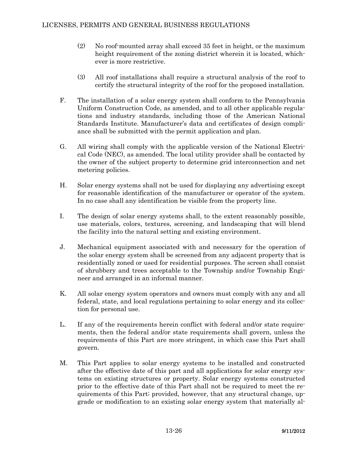- (2) No roof-mounted array shall exceed 35 feet in height, or the maximum height requirement of the zoning district wherein it is located, whichever is more restrictive.
- (3) All roof installations shall require a structural analysis of the roof to certify the structural integrity of the roof for the proposed installation.
- F. The installation of a solar energy system shall conform to the Pennsylvania Uniform Construction Code, as amended, and to all other applicable regulations and industry standards, including those of the American National Standards Institute. Manufacturer's data and certificates of design compliance shall be submitted with the permit application and plan.
- G. All wiring shall comply with the applicable version of the National Electrical Code (NEC), as amended. The local utility provider shall be contacted by the owner of the subject property to determine grid interconnection and net metering policies.
- H. Solar energy systems shall not be used for displaying any advertising except for reasonable identification of the manufacturer or operator of the system. In no case shall any identification be visible from the property line.
- I. The design of solar energy systems shall, to the extent reasonably possible, use materials, colors, textures, screening, and landscaping that will blend the facility into the natural setting and existing environment.
- J. Mechanical equipment associated with and necessary for the operation of the solar energy system shall be screened from any adjacent property that is residentially zoned or used for residential purposes. The screen shall consist of shrubbery and trees acceptable to the Township and/or Township Engineer and arranged in an informal manner.
- K. All solar energy system operators and owners must comply with any and all federal, state, and local regulations pertaining to solar energy and its collection for personal use.
- L. If any of the requirements herein conflict with federal and/or state requirements, then the federal and/or state requirements shall govern, unless the requirements of this Part are more stringent, in which case this Part shall govern.
- M. This Part applies to solar energy systems to be installed and constructed after the effective date of this part and all applications for solar energy systems on existing structures or property. Solar energy systems constructed prior to the effective date of this Part shall not be required to meet the requirements of this Part; provided, however, that any structural change, upgrade or modification to an existing solar energy system that materially al-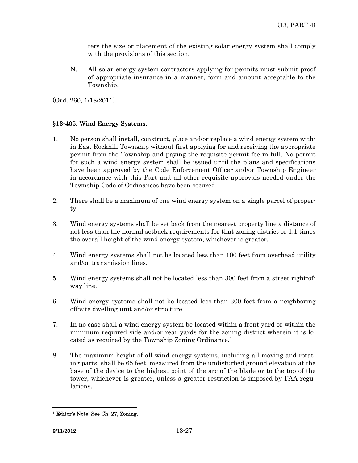ters the size or placement of the existing solar energy system shall comply with the provisions of this section.

 N. All solar energy system contractors applying for permits must submit proof of appropriate insurance in a manner, form and amount acceptable to the Township.

(Ord. 260, 1/18/2011)

## §13-405. Wind Energy Systems.

- 1. No person shall install, construct, place and/or replace a wind energy system within East Rockhill Township without first applying for and receiving the appropriate permit from the Township and paying the requisite permit fee in full. No permit for such a wind energy system shall be issued until the plans and specifications have been approved by the Code Enforcement Officer and/or Township Engineer in accordance with this Part and all other requisite approvals needed under the Township Code of Ordinances have been secured.
- 2. There shall be a maximum of one wind energy system on a single parcel of property.
- 3. Wind energy systems shall be set back from the nearest property line a distance of not less than the normal setback requirements for that zoning district or 1.1 times the overall height of the wind energy system, whichever is greater.
- 4. Wind energy systems shall not be located less than 100 feet from overhead utility and/or transmission lines.
- 5. Wind energy systems shall not be located less than 300 feet from a street right-ofway line.
- 6. Wind energy systems shall not be located less than 300 feet from a neighboring off-site dwelling unit and/or structure.
- 7. In no case shall a wind energy system be located within a front yard or within the minimum required side and/or rear yards for the zoning district wherein it is located as required by the Township Zoning Ordinance.1
- 8. The maximum height of all wind energy systems, including all moving and rotating parts, shall be 65 feet, measured from the undisturbed ground elevation at the base of the device to the highest point of the arc of the blade or to the top of the tower, whichever is greater, unless a greater restriction is imposed by FAA regulations.

<sup>&</sup>lt;sup>1</sup> Editor's Note: See Ch. 27, Zoning.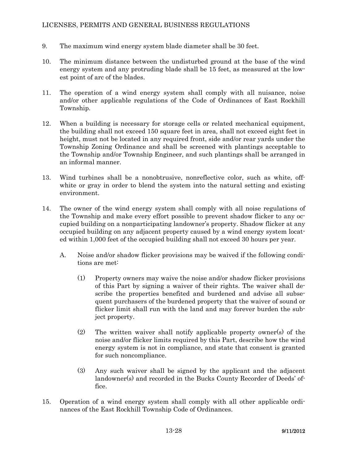## LICENSES, PERMITS AND GENERAL BUSINESS REGULATIONS

- 9. The maximum wind energy system blade diameter shall be 30 feet.
- 10. The minimum distance between the undisturbed ground at the base of the wind energy system and any protruding blade shall be 15 feet, as measured at the lowest point of arc of the blades.
- 11. The operation of a wind energy system shall comply with all nuisance, noise and/or other applicable regulations of the Code of Ordinances of East Rockhill Township.
- 12. When a building is necessary for storage cells or related mechanical equipment, the building shall not exceed 150 square feet in area, shall not exceed eight feet in height, must not be located in any required front, side and/or rear yards under the Township Zoning Ordinance and shall be screened with plantings acceptable to the Township and/or Township Engineer, and such plantings shall be arranged in an informal manner.
- 13. Wind turbines shall be a nonobtrusive, nonreflective color, such as white, offwhite or gray in order to blend the system into the natural setting and existing environment.
- 14. The owner of the wind energy system shall comply with all noise regulations of the Township and make every effort possible to prevent shadow flicker to any occupied building on a nonparticipating landowner's property. Shadow flicker at any occupied building on any adjacent property caused by a wind energy system located within 1,000 feet of the occupied building shall not exceed 30 hours per year.
	- A. Noise and/or shadow flicker provisions may be waived if the following conditions are met:
		- (1) Property owners may waive the noise and/or shadow flicker provisions of this Part by signing a waiver of their rights. The waiver shall describe the properties benefited and burdened and advise all subsequent purchasers of the burdened property that the waiver of sound or flicker limit shall run with the land and may forever burden the subject property.
		- (2) The written waiver shall notify applicable property owner(s) of the noise and/or flicker limits required by this Part, describe how the wind energy system is not in compliance, and state that consent is granted for such noncompliance.
		- (3) Any such waiver shall be signed by the applicant and the adjacent landowner(s) and recorded in the Bucks County Recorder of Deeds' office.
- 15. Operation of a wind energy system shall comply with all other applicable ordinances of the East Rockhill Township Code of Ordinances.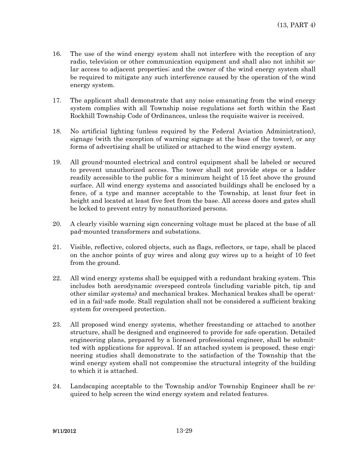- 16. The use of the wind energy system shall not interfere with the reception of any radio, television or other communication equipment and shall also not inhibit solar access to adjacent properties; and the owner of the wind energy system shall be required to mitigate any such interference caused by the operation of the wind energy system.
- 17. The applicant shall demonstrate that any noise emanating from the wind energy system complies with all Township noise regulations set forth within the East Rockhill Township Code of Ordinances, unless the requisite waiver is received.
- 18. No artificial lighting (unless required by the Federal Aviation Administration), signage (with the exception of warning signage at the base of the tower), or any forms of advertising shall be utilized or attached to the wind energy system.
- 19. All ground-mounted electrical and control equipment shall be labeled or secured to prevent unauthorized access. The tower shall not provide steps or a ladder readily accessible to the public for a minimum height of 15 feet above the ground surface. All wind energy systems and associated buildings shall be enclosed by a fence, of a type and manner acceptable to the Township, at least four feet in height and located at least five feet from the base. All access doors and gates shall be locked to prevent entry by nonauthorized persons.
- 20. A clearly visible warning sign concerning voltage must be placed at the base of all pad-mounted transformers and substations.
- 21. Visible, reflective, colored objects, such as flags, reflectors, or tape, shall be placed on the anchor points of guy wires and along guy wires up to a height of 10 feet from the ground.
- 22. All wind energy systems shall be equipped with a redundant braking system. This includes both aerodynamic overspeed controls (including variable pitch, tip and other similar systems) and mechanical brakes. Mechanical brakes shall be operated in a fail-safe mode. Stall regulation shall not be considered a sufficient braking system for overspeed protection.
- 23. All proposed wind energy systems, whether freestanding or attached to another structure, shall be designed and engineered to provide for safe operation. Detailed engineering plans, prepared by a licensed professional engineer, shall be submitted with applications for approval. If an attached system is proposed, these engineering studies shall demonstrate to the satisfaction of the Township that the wind energy system shall not compromise the structural integrity of the building to which it is attached.
- 24. Landscaping acceptable to the Township and/or Township Engineer shall be required to help screen the wind energy system and related features.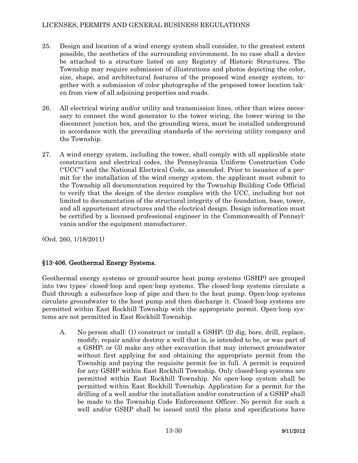## LICENSES, PERMITS AND GENERAL BUSINESS REGULATIONS

- 25. Design and location of a wind energy system shall consider, to the greatest extent possible, the aesthetics of the surrounding environment. In no case shall a device be attached to a structure listed on any Registry of Historic Structures. The Township may require submission of illustrations and photos depicting the color, size, shape, and architectural features of the proposed wind energy system, together with a submission of color photographs of the proposed tower location taken from view of all adjoining properties and roads.
- 26. All electrical wiring and/or utility and transmission lines, other than wires necessary to connect the wind generator to the tower wiring, the tower wiring to the disconnect junction box, and the grounding wires, must be installed underground in accordance with the prevailing standards of the servicing utility company and the Township.
- 27. A wind energy system, including the tower, shall comply with all applicable state construction and electrical codes, the Pennsylvania Uniform Construction Code ("UCC") and the National Electrical Code, as amended. Prior to issuance of a permit for the installation of the wind energy system, the applicant must submit to the Township all documentation required by the Township Building Code Official to verify that the design of the device complies with the UCC, including but not limited to documentation of the structural integrity of the foundation, base, tower, and all appurtenant structures and the electrical design. Design information must be certified by a licensed professional engineer in the Commonwealth of Pennsylvania and/or the equipment manufacturer.

(Ord. 260, 1/18/2011)

# §13-406. Geothermal Energy Systems.

Geothermal energy systems or ground-source heat pump systems (GSHP) are grouped into two types: closed-loop and open-loop systems. The closed-loop systems circulate a fluid through a subsurface loop of pipe and then to the heat pump. Open-loop systems circulate groundwater to the heat pump and then discharge it. Closed-loop systems are permitted within East Rockhill Township with the appropriate permit. Open-loop systems are not permitted in East Rockhill Township.

 A. No person shall: (1) construct or install a GSHP; (2) dig, bore, drill, replace, modify, repair and/or destroy a well that is, is intended to be, or was part of a GSHP; or (3) make any other excavation that may intersect groundwater without first applying for and obtaining the appropriate permit from the Township and paying the requisite permit fee in full. A permit is required for any GSHP within East Rockhill Township. Only closed-loop systems are permitted within East Rockhill Township. No open-loop system shall be permitted within East Rockhill Township. Application for a permit for the drilling of a well and/or the installation and/or construction of a GSHP shall be made to the Township Code Enforcement Officer. No permit for such a well and/or GSHP shall be issued until the plans and specifications have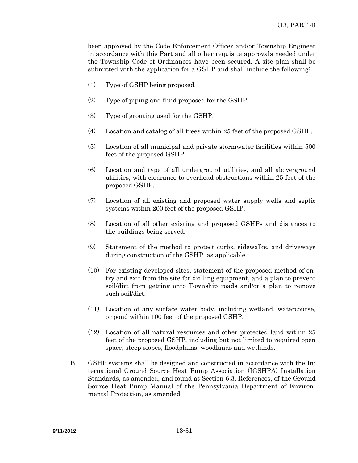been approved by the Code Enforcement Officer and/or Township Engineer in accordance with this Part and all other requisite approvals needed under the Township Code of Ordinances have been secured. A site plan shall be submitted with the application for a GSHP and shall include the following:

- (1) Type of GSHP being proposed.
- (2) Type of piping and fluid proposed for the GSHP.
- (3) Type of grouting used for the GSHP.
- (4) Location and catalog of all trees within 25 feet of the proposed GSHP.
- (5) Location of all municipal and private stormwater facilities within 500 feet of the proposed GSHP.
- (6) Location and type of all underground utilities, and all above-ground utilities, with clearance to overhead obstructions within 25 feet of the proposed GSHP.
- (7) Location of all existing and proposed water supply wells and septic systems within 200 feet of the proposed GSHP.
- (8) Location of all other existing and proposed GSHPs and distances to the buildings being served.
- (9) Statement of the method to protect curbs, sidewalks, and driveways during construction of the GSHP, as applicable.
- (10) For existing developed sites, statement of the proposed method of entry and exit from the site for drilling equipment, and a plan to prevent soil/dirt from getting onto Township roads and/or a plan to remove such soil/dirt.
- (11) Location of any surface water body, including wetland, watercourse, or pond within 100 feet of the proposed GSHP.
- (12) Location of all natural resources and other protected land within 25 feet of the proposed GSHP, including but not limited to required open space, steep slopes, floodplains, woodlands and wetlands.
- B. GSHP systems shall be designed and constructed in accordance with the International Ground Source Heat Pump Association (IGSHPA) Installation Standards, as amended, and found at Section 6.3, References, of the Ground Source Heat Pump Manual of the Pennsylvania Department of Environmental Protection, as amended.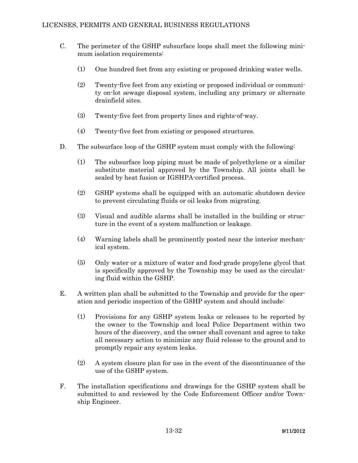- C. The perimeter of the GSHP subsurface loops shall meet the following minimum isolation requirements:
	- (1) One hundred feet from any existing or proposed drinking water wells.
	- (2) Twenty-five feet from any existing or proposed individual or community on-lot sewage disposal system, including any primary or alternate drainfield sites.
	- (3) Twenty-five feet from property lines and rights-of-way.
	- (4) Twenty-five feet from existing or proposed structures.
- D. The subsurface loop of the GSHP system must comply with the following:
	- (1) The subsurface loop piping must be made of polyethylene or a similar substitute material approved by the Township. All joints shall be sealed by heat fusion or IGSHPA-certified process.
	- (2) GSHP systems shall be equipped with an automatic shutdown device to prevent circulating fluids or oil leaks from migrating.
	- (3) Visual and audible alarms shall be installed in the building or structure in the event of a system malfunction or leakage.
	- (4) Warning labels shall be prominently posted near the interior mechanical system.
	- (5) Only water or a mixture of water and food-grade propylene glycol that is specifically approved by the Township may be used as the circulating fluid within the GSHP.
- E. A written plan shall be submitted to the Township and provide for the operation and periodic inspection of the GSHP system and should include:
	- (1) Provisions for any GSHP system leaks or releases to be reported by the owner to the Township and local Police Department within two hours of the discovery, and the owner shall covenant and agree to take all necessary action to minimize any fluid release to the ground and to promptly repair any system leaks.
	- (2) A system closure plan for use in the event of the discontinuance of the use of the GSHP system.
- F. The installation specifications and drawings for the GSHP system shall be submitted to and reviewed by the Code Enforcement Officer and/or Township Engineer.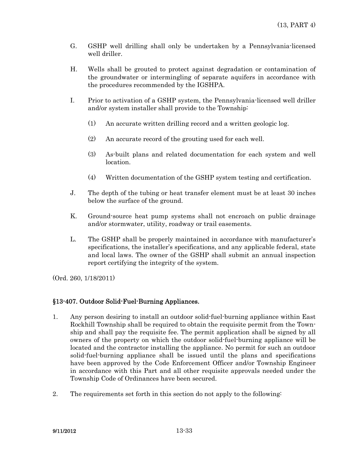- G. GSHP well drilling shall only be undertaken by a Pennsylvania-licensed well driller.
- H. Wells shall be grouted to protect against degradation or contamination of the groundwater or intermingling of separate aquifers in accordance with the procedures recommended by the IGSHPA.
- I. Prior to activation of a GSHP system, the Pennsylvania-licensed well driller and/or system installer shall provide to the Township:
	- (1) An accurate written drilling record and a written geologic log.
	- (2) An accurate record of the grouting used for each well.
	- (3) As-built plans and related documentation for each system and well location.
	- (4) Written documentation of the GSHP system testing and certification.
- J. The depth of the tubing or heat transfer element must be at least 30 inches below the surface of the ground.
- K. Ground-source heat pump systems shall not encroach on public drainage and/or stormwater, utility, roadway or trail easements.
- L. The GSHP shall be properly maintained in accordance with manufacturer's specifications, the installer's specifications, and any applicable federal, state and local laws. The owner of the GSHP shall submit an annual inspection report certifying the integrity of the system.

(Ord. 260, 1/18/2011)

# §13-407. Outdoor Solid-Fuel-Burning Appliances.

- 1. Any person desiring to install an outdoor solid-fuel-burning appliance within East Rockhill Township shall be required to obtain the requisite permit from the Township and shall pay the requisite fee. The permit application shall be signed by all owners of the property on which the outdoor solid-fuel-burning appliance will be located and the contractor installing the appliance. No permit for such an outdoor solid-fuel-burning appliance shall be issued until the plans and specifications have been approved by the Code Enforcement Officer and/or Township Engineer in accordance with this Part and all other requisite approvals needed under the Township Code of Ordinances have been secured.
- 2. The requirements set forth in this section do not apply to the following: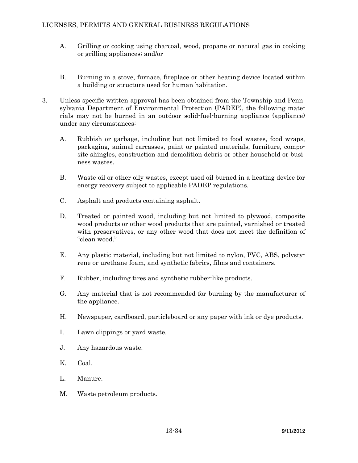- A. Grilling or cooking using charcoal, wood, propane or natural gas in cooking or grilling appliances; and/or
- B. Burning in a stove, furnace, fireplace or other heating device located within a building or structure used for human habitation.
- 3. Unless specific written approval has been obtained from the Township and Pennsylvania Department of Environmental Protection (PADEP), the following materials may not be burned in an outdoor solid-fuel-burning appliance (appliance) under any circumstances:
	- A. Rubbish or garbage, including but not limited to food wastes, food wraps, packaging, animal carcasses, paint or painted materials, furniture, composite shingles, construction and demolition debris or other household or business wastes.
	- B. Waste oil or other oily wastes, except used oil burned in a heating device for energy recovery subject to applicable PADEP regulations.
	- C. Asphalt and products containing asphalt.
	- D. Treated or painted wood, including but not limited to plywood, composite wood products or other wood products that are painted, varnished or treated with preservatives, or any other wood that does not meet the definition of "clean wood."
	- E. Any plastic material, including but not limited to nylon, PVC, ABS, polystyrene or urethane foam, and synthetic fabrics, films and containers.
	- F. Rubber, including tires and synthetic rubber-like products.
	- G. Any material that is not recommended for burning by the manufacturer of the appliance.
	- H. Newspaper, cardboard, particleboard or any paper with ink or dye products.
	- I. Lawn clippings or yard waste.
	- J. Any hazardous waste.
	- K. Coal.
	- L. Manure.
	- M. Waste petroleum products.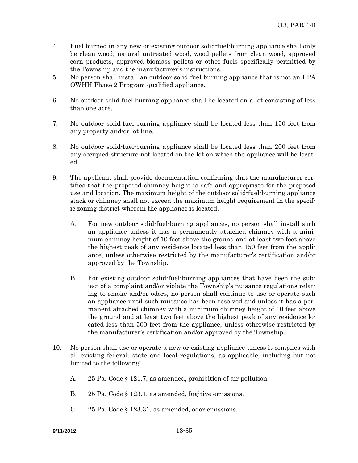- 4. Fuel burned in any new or existing outdoor solid-fuel-burning appliance shall only be clean wood, natural untreated wood, wood pellets from clean wood, approved corn products, approved biomass pellets or other fuels specifically permitted by the Township and the manufacturer's instructions.
- 5. No person shall install an outdoor solid-fuel-burning appliance that is not an EPA OWHH Phase 2 Program qualified appliance.
- 6. No outdoor solid-fuel-burning appliance shall be located on a lot consisting of less than one acre.
- 7. No outdoor solid-fuel-burning appliance shall be located less than 150 feet from any property and/or lot line.
- 8. No outdoor solid-fuel-burning appliance shall be located less than 200 feet from any occupied structure not located on the lot on which the appliance will be located.
- 9. The applicant shall provide documentation confirming that the manufacturer certifies that the proposed chimney height is safe and appropriate for the proposed use and location. The maximum height of the outdoor solid-fuel-burning appliance stack or chimney shall not exceed the maximum height requirement in the specific zoning district wherein the appliance is located.
	- A. For new outdoor solid-fuel-burning appliances, no person shall install such an appliance unless it has a permanently attached chimney with a minimum chimney height of 10 feet above the ground and at least two feet above the highest peak of any residence located less than 150 feet from the appliance, unless otherwise restricted by the manufacturer's certification and/or approved by the Township.
	- B. For existing outdoor solid-fuel-burning appliances that have been the subject of a complaint and/or violate the Township's nuisance regulations relating to smoke and/or odors, no person shall continue to use or operate such an appliance until such nuisance has been resolved and unless it has a permanent attached chimney with a minimum chimney height of 10 feet above the ground and at least two feet above the highest peak of any residence located less than 500 feet from the appliance, unless otherwise restricted by the manufacturer's certification and/or approved by the Township.
- 10. No person shall use or operate a new or existing appliance unless it complies with all existing federal, state and local regulations, as applicable, including but not limited to the following:
	- A. 25 Pa. Code § 121.7, as amended, prohibition of air pollution.
	- B. 25 Pa. Code § 123.1, as amended, fugitive emissions.
	- C. 25 Pa. Code § 123.31, as amended, odor emissions.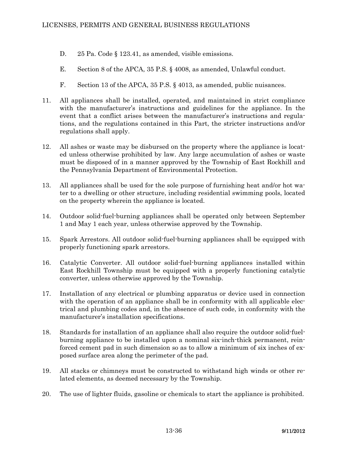- D. 25 Pa. Code § 123.41, as amended, visible emissions.
- E. Section 8 of the APCA, 35 P.S. § 4008, as amended, Unlawful conduct.
- F. Section 13 of the APCA, 35 P.S. § 4013, as amended, public nuisances.
- 11. All appliances shall be installed, operated, and maintained in strict compliance with the manufacturer's instructions and guidelines for the appliance. In the event that a conflict arises between the manufacturer's instructions and regulations, and the regulations contained in this Part, the stricter instructions and/or regulations shall apply.
- 12. All ashes or waste may be disbursed on the property where the appliance is located unless otherwise prohibited by law. Any large accumulation of ashes or waste must be disposed of in a manner approved by the Township of East Rockhill and the Pennsylvania Department of Environmental Protection.
- 13. All appliances shall be used for the sole purpose of furnishing heat and/or hot water to a dwelling or other structure, including residential swimming pools, located on the property wherein the appliance is located.
- 14. Outdoor solid-fuel-burning appliances shall be operated only between September 1 and May 1 each year, unless otherwise approved by the Township.
- 15. Spark Arrestors. All outdoor solid-fuel-burning appliances shall be equipped with properly functioning spark arrestors.
- 16. Catalytic Converter. All outdoor solid-fuel-burning appliances installed within East Rockhill Township must be equipped with a properly functioning catalytic converter, unless otherwise approved by the Township.
- 17. Installation of any electrical or plumbing apparatus or device used in connection with the operation of an appliance shall be in conformity with all applicable electrical and plumbing codes and, in the absence of such code, in conformity with the manufacturer's installation specifications.
- 18. Standards for installation of an appliance shall also require the outdoor solid-fuelburning appliance to be installed upon a nominal six-inch-thick permanent, reinforced cement pad in such dimension so as to allow a minimum of six inches of exposed surface area along the perimeter of the pad.
- 19. All stacks or chimneys must be constructed to withstand high winds or other related elements, as deemed necessary by the Township.
- 20. The use of lighter fluids, gasoline or chemicals to start the appliance is prohibited.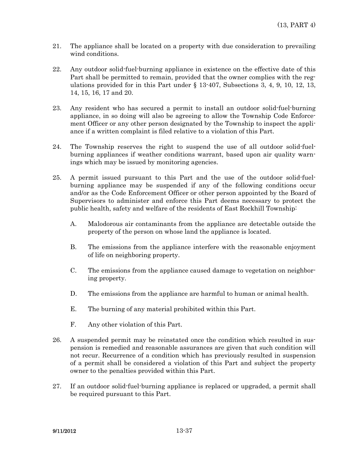- 21. The appliance shall be located on a property with due consideration to prevailing wind conditions.
- 22. Any outdoor solid-fuel-burning appliance in existence on the effective date of this Part shall be permitted to remain, provided that the owner complies with the regulations provided for in this Part under § 13-407, Subsections 3, 4, 9, 10, 12, 13, 14, 15, 16, 17 and 20.
- 23. Any resident who has secured a permit to install an outdoor solid-fuel-burning appliance, in so doing will also be agreeing to allow the Township Code Enforcement Officer or any other person designated by the Township to inspect the appliance if a written complaint is filed relative to a violation of this Part.
- 24. The Township reserves the right to suspend the use of all outdoor solid-fuelburning appliances if weather conditions warrant, based upon air quality warnings which may be issued by monitoring agencies.
- 25. A permit issued pursuant to this Part and the use of the outdoor solid-fuelburning appliance may be suspended if any of the following conditions occur and/or as the Code Enforcement Officer or other person appointed by the Board of Supervisors to administer and enforce this Part deems necessary to protect the public health, safety and welfare of the residents of East Rockhill Township:
	- A. Malodorous air contaminants from the appliance are detectable outside the property of the person on whose land the appliance is located.
	- B. The emissions from the appliance interfere with the reasonable enjoyment of life on neighboring property.
	- C. The emissions from the appliance caused damage to vegetation on neighboring property.
	- D. The emissions from the appliance are harmful to human or animal health.
	- E. The burning of any material prohibited within this Part.
	- F. Any other violation of this Part.
- 26. A suspended permit may be reinstated once the condition which resulted in suspension is remedied and reasonable assurances are given that such condition will not recur. Recurrence of a condition which has previously resulted in suspension of a permit shall be considered a violation of this Part and subject the property owner to the penalties provided within this Part.
- 27. If an outdoor solid-fuel-burning appliance is replaced or upgraded, a permit shall be required pursuant to this Part.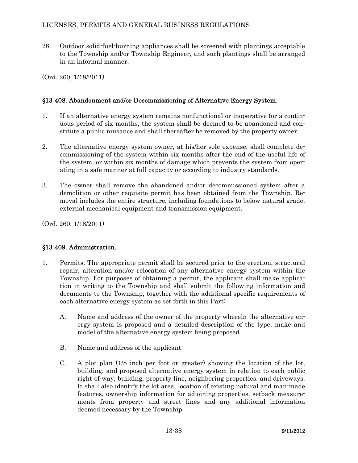28. Outdoor solid-fuel-burning appliances shall be screened with plantings acceptable to the Township and/or Township Engineer, and such plantings shall be arranged in an informal manner.

(Ord. 260, 1/18/2011)

## §13-408. Abandonment and/or Decommissioning of Alternative Energy System.

- 1. If an alternative energy system remains nonfunctional or inoperative for a continuous period of six months, the system shall be deemed to be abandoned and constitute a public nuisance and shall thereafter be removed by the property owner.
- 2. The alternative energy system owner, at his/her sole expense, shall complete decommissioning of the system within six months after the end of the useful life of the system, or within six months of damage which prevents the system from operating in a safe manner at full capacity or according to industry standards.
- 3. The owner shall remove the abandoned and/or decommissioned system after a demolition or other requisite permit has been obtained from the Township. Removal includes the entire structure, including foundations to below natural grade, external mechanical equipment and transmission equipment.

(Ord. 260, 1/18/2011)

# §13-409. Administration.

- 1. Permits. The appropriate permit shall be secured prior to the erection, structural repair, alteration and/or relocation of any alternative energy system within the Township. For purposes of obtaining a permit, the applicant shall make application in writing to the Township and shall submit the following information and documents to the Township, together with the additional specific requirements of each alternative energy system as set forth in this Part:
	- A. Name and address of the owner of the property wherein the alternative energy system is proposed and a detailed description of the type, make and model of the alternative energy system being proposed.
	- B. Name and address of the applicant.
	- C. A plot plan (1/8 inch per foot or greater) showing the location of the lot, building, and proposed alternative energy system in relation to each public right-of-way, building, property line, neighboring properties, and driveways. It shall also identify the lot area, location of existing natural and man-made features, ownership information for adjoining properties, setback measurements from property and street lines and any additional information deemed necessary by the Township.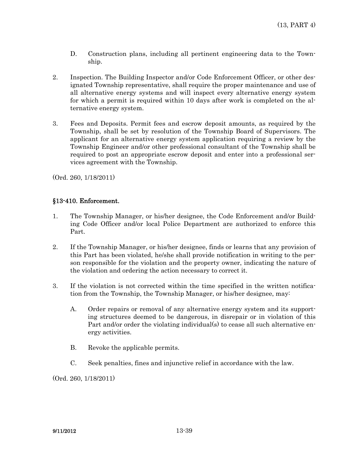- D. Construction plans, including all pertinent engineering data to the Township.
- 2. Inspection. The Building Inspector and/or Code Enforcement Officer, or other designated Township representative, shall require the proper maintenance and use of all alternative energy systems and will inspect every alternative energy system for which a permit is required within 10 days after work is completed on the alternative energy system.
- 3. Fees and Deposits. Permit fees and escrow deposit amounts, as required by the Township, shall be set by resolution of the Township Board of Supervisors. The applicant for an alternative energy system application requiring a review by the Township Engineer and/or other professional consultant of the Township shall be required to post an appropriate escrow deposit and enter into a professional services agreement with the Township.

(Ord. 260, 1/18/2011)

## §13-410. Enforcement.

- 1. The Township Manager, or his/her designee, the Code Enforcement and/or Building Code Officer and/or local Police Department are authorized to enforce this Part.
- 2. If the Township Manager, or his/her designee, finds or learns that any provision of this Part has been violated, he/she shall provide notification in writing to the person responsible for the violation and the property owner, indicating the nature of the violation and ordering the action necessary to correct it.
- 3. If the violation is not corrected within the time specified in the written notification from the Township, the Township Manager, or his/her designee, may:
	- A. Order repairs or removal of any alternative energy system and its supporting structures deemed to be dangerous, in disrepair or in violation of this Part and/or order the violating individual(s) to cease all such alternative energy activities.
	- B. Revoke the applicable permits.
	- C. Seek penalties, fines and injunctive relief in accordance with the law.

(Ord. 260, 1/18/2011)